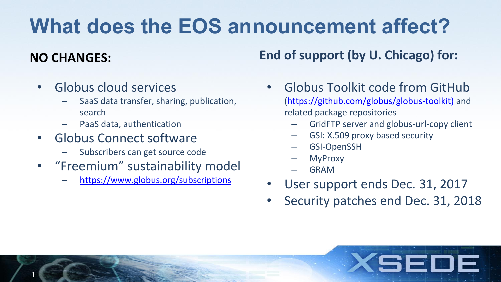## **What does the EOS announcement affect?**

### **NO CHANGES:**

1

- Globus cloud services
	- SaaS data transfer, sharing, publication, search
	- PaaS data, authentication
- Globus Connect software
	- Subscribers can get source code
- "Freemium" sustainability model
	- <https://www.globus.org/subscriptions>

**End of support (by U. Chicago) for:**

- Globus Toolkit code from GitHub ([https://github.com/globus/globus-toolkit\)](https://github.com/globus/globus-toolkit)) and related package repositories
	- GridFTP server and globus-url-copy client
	- GSI: X.509 proxy based security
	- GSI-OpenSSH
	- **MyProxy**
	- GRAM
- User support ends Dec. 31, 2017
- Security patches end Dec. 31, 2018

SEI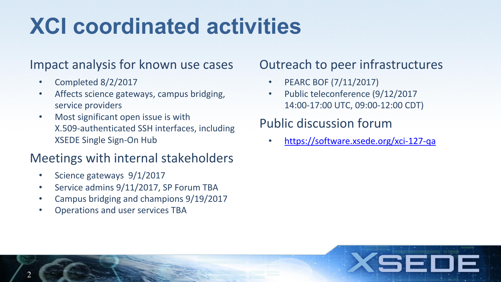# **XCI coordinated activities**

#### Impact analysis for known use cases

- Completed 8/2/2017
- Affects science gateways, campus bridging, service providers
- Most significant open issue is with X.509-authenticated SSH interfaces, including XSEDE Single Sign-On Hub

### Meetings with internal stakeholders

- Science gateways 9/1/2017
- Service admins 9/11/2017, SP Forum TBA
- Campus bridging and champions 9/19/2017
- Operations and user services TBA

### Outreach to peer infrastructures

- PEARC BOF (7/11/2017)
- Public teleconference (9/12/2017 14:00-17:00 UTC, 09:00-12:00 CDT)

## Public discussion forum

• <https://software.xsede.org/xci-127-qa>

SEI